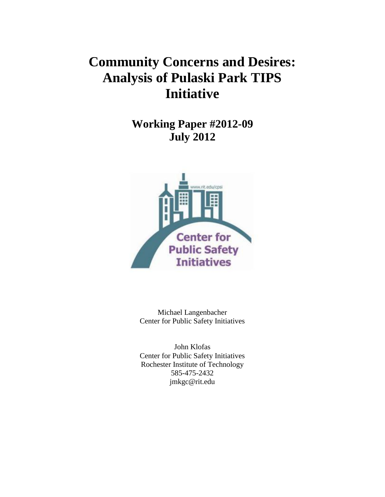## **Community Concerns and Desires: Analysis of Pulaski Park TIPS Initiative**

**Working Paper #2012-09 July 2012**



Michael Langenbacher Center for Public Safety Initiatives

John Klofas Center for Public Safety Initiatives Rochester Institute of Technology 585-475-2432 jmkgc@rit.edu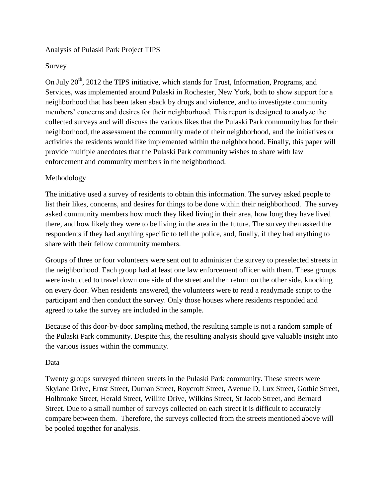## Analysis of Pulaski Park Project TIPS

## Survey

On July  $20<sup>th</sup>$ , 2012 the TIPS initiative, which stands for Trust, Information, Programs, and Services, was implemented around Pulaski in Rochester, New York, both to show support for a neighborhood that has been taken aback by drugs and violence, and to investigate community members' concerns and desires for their neighborhood. This report is designed to analyze the collected surveys and will discuss the various likes that the Pulaski Park community has for their neighborhood, the assessment the community made of their neighborhood, and the initiatives or activities the residents would like implemented within the neighborhood. Finally, this paper will provide multiple anecdotes that the Pulaski Park community wishes to share with law enforcement and community members in the neighborhood.

## Methodology

The initiative used a survey of residents to obtain this information. The survey asked people to list their likes, concerns, and desires for things to be done within their neighborhood. The survey asked community members how much they liked living in their area, how long they have lived there, and how likely they were to be living in the area in the future. The survey then asked the respondents if they had anything specific to tell the police, and, finally, if they had anything to share with their fellow community members.

Groups of three or four volunteers were sent out to administer the survey to preselected streets in the neighborhood. Each group had at least one law enforcement officer with them. These groups were instructed to travel down one side of the street and then return on the other side, knocking on every door. When residents answered, the volunteers were to read a readymade script to the participant and then conduct the survey. Only those houses where residents responded and agreed to take the survey are included in the sample.

Because of this door-by-door sampling method, the resulting sample is not a random sample of the Pulaski Park community. Despite this, the resulting analysis should give valuable insight into the various issues within the community.

## Data

Twenty groups surveyed thirteen streets in the Pulaski Park community. These streets were Skylane Drive, Ernst Street, Durnan Street, Roycroft Street, Avenue D, Lux Street, Gothic Street, Holbrooke Street, Herald Street, Willite Drive, Wilkins Street, St Jacob Street, and Bernard Street. Due to a small number of surveys collected on each street it is difficult to accurately compare between them. Therefore, the surveys collected from the streets mentioned above will be pooled together for analysis.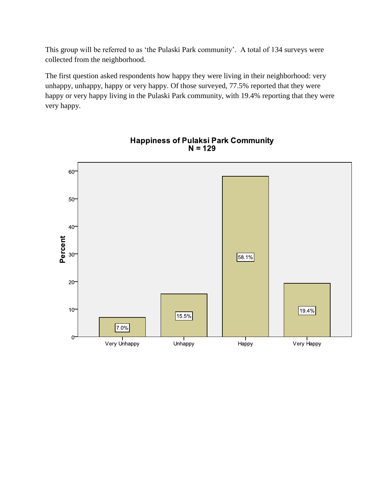This group will be referred to as 'the Pulaski Park community'. A total of 134 surveys were collected from the neighborhood.

The first question asked respondents how happy they were living in their neighborhood: very unhappy, unhappy, happy or very happy. Of those surveyed, 77.5% reported that they were happy or very happy living in the Pulaski Park community, with 19.4% reporting that they were very happy.



# Happiness of Pulaksi Park Community<br>N = 129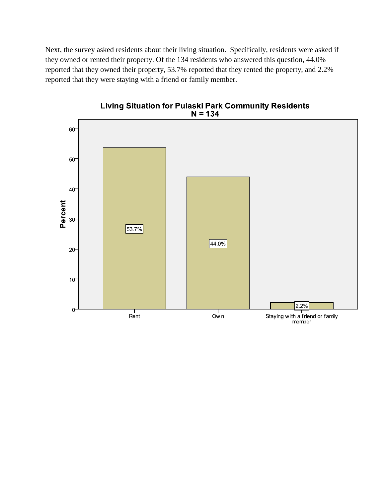Next, the survey asked residents about their living situation. Specifically, residents were asked if they owned or rented their property. Of the 134 residents who answered this question, 44.0% reported that they owned their property, 53.7% reported that they rented the property, and 2.2% reported that they were staying with a friend or family member.



Living Situation for Pulaski Park Community Residents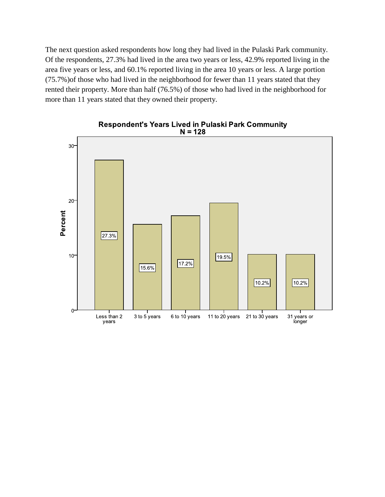The next question asked respondents how long they had lived in the Pulaski Park community. Of the respondents, 27.3% had lived in the area two years or less, 42.9% reported living in the area five years or less, and 60.1% reported living in the area 10 years or less. A large portion (75.7%)of those who had lived in the neighborhood for fewer than 11 years stated that they rented their property. More than half (76.5%) of those who had lived in the neighborhood for more than 11 years stated that they owned their property.



Respondent's Years Lived in Pulaski Park Community  $N = 128$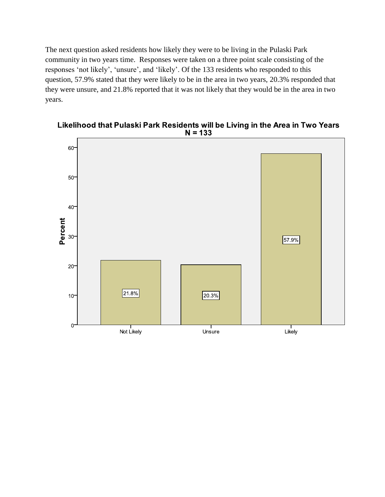The next question asked residents how likely they were to be living in the Pulaski Park community in two years time. Responses were taken on a three point scale consisting of the responses 'not likely', 'unsure', and 'likely'. Of the 133 residents who responded to this question, 57.9% stated that they were likely to be in the area in two years, 20.3% responded that they were unsure, and 21.8% reported that it was not likely that they would be in the area in two years.



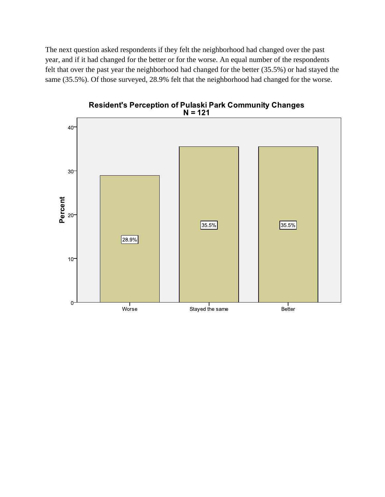The next question asked respondents if they felt the neighborhood had changed over the past year, and if it had changed for the better or for the worse. An equal number of the respondents felt that over the past year the neighborhood had changed for the better (35.5%) or had stayed the same (35.5%). Of those surveyed, 28.9% felt that the neighborhood had changed for the worse.

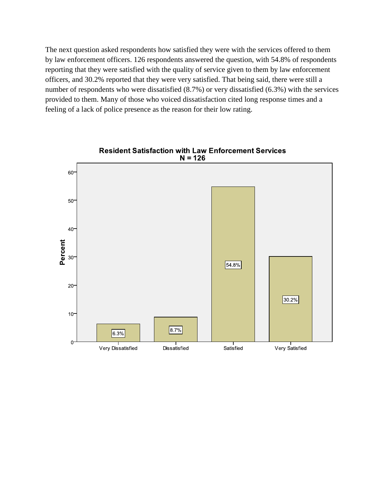The next question asked respondents how satisfied they were with the services offered to them by law enforcement officers. 126 respondents answered the question, with 54.8% of respondents reporting that they were satisfied with the quality of service given to them by law enforcement officers, and 30.2% reported that they were very satisfied. That being said, there were still a number of respondents who were dissatisfied (8.7%) or very dissatisfied (6.3%) with the services provided to them. Many of those who voiced dissatisfaction cited long response times and a feeling of a lack of police presence as the reason for their low rating.

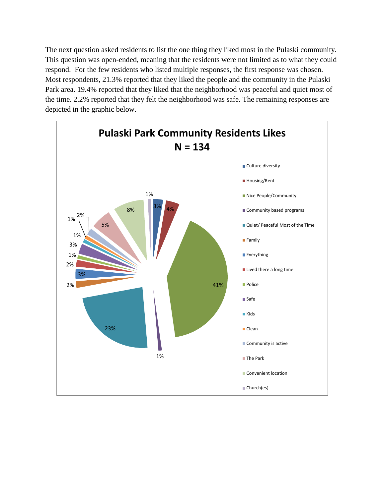The next question asked residents to list the one thing they liked most in the Pulaski community. This question was open-ended, meaning that the residents were not limited as to what they could respond. For the few residents who listed multiple responses, the first response was chosen. Most respondents, 21.3% reported that they liked the people and the community in the Pulaski Park area. 19.4% reported that they liked that the neighborhood was peaceful and quiet most of the time. 2.2% reported that they felt the neighborhood was safe. The remaining responses are depicted in the graphic below.

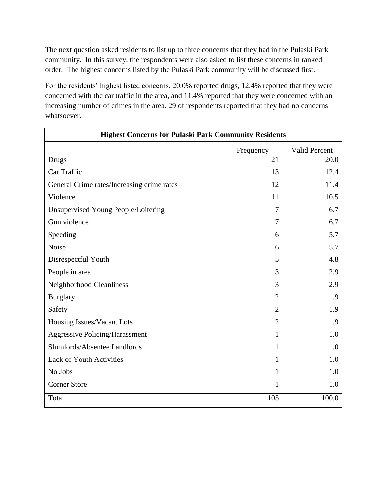The next question asked residents to list up to three concerns that they had in the Pulaski Park community. In this survey, the respondents were also asked to list these concerns in ranked order. The highest concerns listed by the Pulaski Park community will be discussed first.

For the residents' highest listed concerns, 20.0% reported drugs, 12.4% reported that they were concerned with the car traffic in the area, and 11.4% reported that they were concerned with an increasing number of crimes in the area. 29 of respondents reported that they had no concerns whatsoever.

| <b>Highest Concerns for Pulaski Park Community Residents</b> |                |               |
|--------------------------------------------------------------|----------------|---------------|
|                                                              | Frequency      | Valid Percent |
| <b>Drugs</b>                                                 | 21             | 20.0          |
| Car Traffic                                                  | 13             | 12.4          |
| General Crime rates/Increasing crime rates                   | 12             | 11.4          |
| Violence                                                     | 11             | 10.5          |
| Unsupervised Young People/Loitering                          | 7              | 6.7           |
| Gun violence                                                 | 7              | 6.7           |
| Speeding                                                     | 6              | 5.7           |
| Noise                                                        | 6              | 5.7           |
| Disrespectful Youth                                          | 5              | 4.8           |
| People in area                                               | 3              | 2.9           |
| Neighborhood Cleanliness                                     | 3              | 2.9           |
| <b>Burglary</b>                                              | $\overline{2}$ | 1.9           |
| Safety                                                       | $\overline{2}$ | 1.9           |
| Housing Issues/Vacant Lots                                   | $\overline{2}$ | 1.9           |
| <b>Aggressive Policing/Harassment</b>                        | $\mathbf{1}$   | 1.0           |
| Slumlords/Absentee Landlords                                 | 1              | 1.0           |
| Lack of Youth Activities                                     | $\mathbf{1}$   | 1.0           |
| No Jobs                                                      | $\mathbf{1}$   | 1.0           |
| <b>Corner Store</b>                                          | 1              | 1.0           |
| Total                                                        | 105            | 100.0         |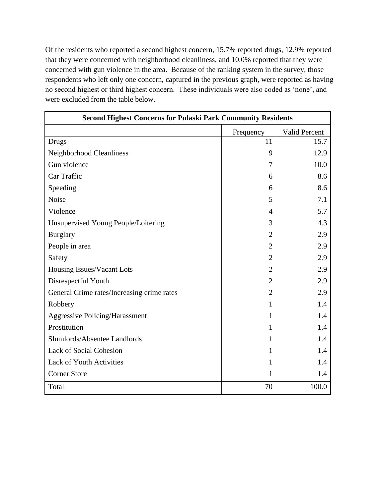Of the residents who reported a second highest concern, 15.7% reported drugs, 12.9% reported that they were concerned with neighborhood cleanliness, and 10.0% reported that they were concerned with gun violence in the area. Because of the ranking system in the survey, those respondents who left only one concern, captured in the previous graph, were reported as having no second highest or third highest concern. These individuals were also coded as 'none', and were excluded from the table below.

|                                            | <b>Second Highest Concerns for Pulaski Park Community Residents</b> |               |  |  |  |  |  |  |  |  |
|--------------------------------------------|---------------------------------------------------------------------|---------------|--|--|--|--|--|--|--|--|
|                                            | Frequency                                                           | Valid Percent |  |  |  |  |  |  |  |  |
| Drugs                                      | 11                                                                  | 15.7          |  |  |  |  |  |  |  |  |
| Neighborhood Cleanliness                   | 9                                                                   | 12.9          |  |  |  |  |  |  |  |  |
| Gun violence                               | 7                                                                   | 10.0          |  |  |  |  |  |  |  |  |
| Car Traffic                                | 6                                                                   | 8.6           |  |  |  |  |  |  |  |  |
| Speeding                                   | 6                                                                   | 8.6           |  |  |  |  |  |  |  |  |
| Noise                                      | 5                                                                   | 7.1           |  |  |  |  |  |  |  |  |
| Violence                                   | 4                                                                   | 5.7           |  |  |  |  |  |  |  |  |
| Unsupervised Young People/Loitering        | 3                                                                   | 4.3           |  |  |  |  |  |  |  |  |
| <b>Burglary</b>                            | $\overline{2}$                                                      | 2.9           |  |  |  |  |  |  |  |  |
| People in area                             | 2                                                                   | 2.9           |  |  |  |  |  |  |  |  |
| Safety                                     | $\overline{2}$                                                      | 2.9           |  |  |  |  |  |  |  |  |
| Housing Issues/Vacant Lots                 | $\overline{2}$                                                      | 2.9           |  |  |  |  |  |  |  |  |
| Disrespectful Youth                        | $\overline{2}$                                                      | 2.9           |  |  |  |  |  |  |  |  |
| General Crime rates/Increasing crime rates | $\overline{2}$                                                      | 2.9           |  |  |  |  |  |  |  |  |
| Robbery                                    | 1                                                                   | 1.4           |  |  |  |  |  |  |  |  |
| <b>Aggressive Policing/Harassment</b>      | 1                                                                   | 1.4           |  |  |  |  |  |  |  |  |
| Prostitution                               | 1                                                                   | 1.4           |  |  |  |  |  |  |  |  |
| Slumlords/Absentee Landlords               | 1                                                                   | 1.4           |  |  |  |  |  |  |  |  |
| <b>Lack of Social Cohesion</b>             | 1                                                                   | 1.4           |  |  |  |  |  |  |  |  |
| Lack of Youth Activities                   | 1                                                                   | 1.4           |  |  |  |  |  |  |  |  |
| <b>Corner Store</b>                        | 1                                                                   | 1.4           |  |  |  |  |  |  |  |  |
| Total                                      | 70                                                                  | 100.0         |  |  |  |  |  |  |  |  |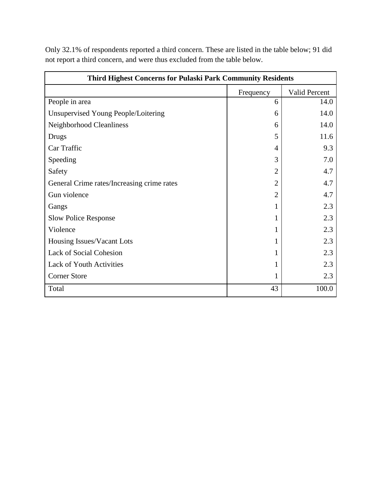| <b>Third Highest Concerns for Pulaski Park Community Residents</b> |                |                      |
|--------------------------------------------------------------------|----------------|----------------------|
|                                                                    | Frequency      | <b>Valid Percent</b> |
| People in area                                                     | 6              | 14.0                 |
| Unsupervised Young People/Loitering                                | 6              | 14.0                 |
| Neighborhood Cleanliness                                           | 6              | 14.0                 |
| Drugs                                                              | 5              | 11.6                 |
| Car Traffic                                                        | 4              | 9.3                  |
| Speeding                                                           | 3              | 7.0                  |
| Safety                                                             | $\overline{2}$ | 4.7                  |
| General Crime rates/Increasing crime rates                         | $\overline{2}$ | 4.7                  |
| Gun violence                                                       | $\overline{2}$ | 4.7                  |
| Gangs                                                              |                | 2.3                  |
| <b>Slow Police Response</b>                                        |                | 2.3                  |
| Violence                                                           |                | 2.3                  |
| Housing Issues/Vacant Lots                                         |                | 2.3                  |
| <b>Lack of Social Cohesion</b>                                     |                | 2.3                  |
| <b>Lack of Youth Activities</b>                                    |                | 2.3                  |
| <b>Corner Store</b>                                                |                | 2.3                  |
| Total                                                              | 43             | 100.0                |

Only 32.1% of respondents reported a third concern. These are listed in the table below; 91 did not report a third concern, and were thus excluded from the table below.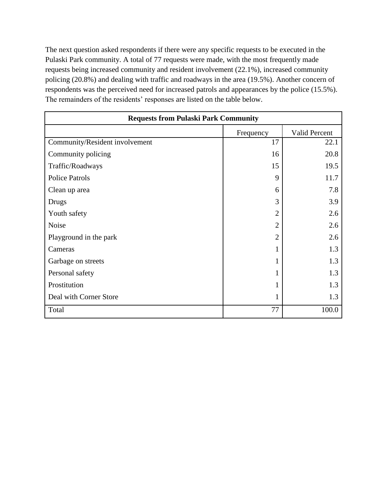The next question asked respondents if there were any specific requests to be executed in the Pulaski Park community. A total of 77 requests were made, with the most frequently made requests being increased community and resident involvement (22.1%), increased community policing (20.8%) and dealing with traffic and roadways in the area (19.5%). Another concern of respondents was the perceived need for increased patrols and appearances by the police (15.5%). The remainders of the residents' responses are listed on the table below.

| <b>Requests from Pulaski Park Community</b> |                |                      |
|---------------------------------------------|----------------|----------------------|
|                                             | Frequency      | <b>Valid Percent</b> |
| Community/Resident involvement              | 17             | 22.1                 |
| Community policing                          | 16             | 20.8                 |
| Traffic/Roadways                            | 15             | 19.5                 |
| <b>Police Patrols</b>                       | 9              | 11.7                 |
| Clean up area                               | 6              | 7.8                  |
| Drugs                                       | 3              | 3.9                  |
| Youth safety                                | $\overline{2}$ | 2.6                  |
| Noise                                       | $\overline{2}$ | 2.6                  |
| Playground in the park                      | $\overline{2}$ | 2.6                  |
| Cameras                                     |                | 1.3                  |
| Garbage on streets                          |                | 1.3                  |
| Personal safety                             |                | 1.3                  |
| Prostitution                                |                | 1.3                  |
| Deal with Corner Store                      |                | 1.3                  |
| Total                                       | 77             | 100.0                |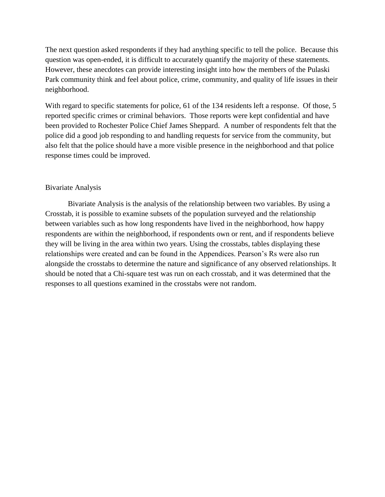The next question asked respondents if they had anything specific to tell the police. Because this question was open-ended, it is difficult to accurately quantify the majority of these statements. However, these anecdotes can provide interesting insight into how the members of the Pulaski Park community think and feel about police, crime, community, and quality of life issues in their neighborhood.

With regard to specific statements for police, 61 of the 134 residents left a response. Of those, 5 reported specific crimes or criminal behaviors. Those reports were kept confidential and have been provided to Rochester Police Chief James Sheppard. A number of respondents felt that the police did a good job responding to and handling requests for service from the community, but also felt that the police should have a more visible presence in the neighborhood and that police response times could be improved.

## Bivariate Analysis

Bivariate Analysis is the analysis of the relationship between two variables. By using a Crosstab, it is possible to examine subsets of the population surveyed and the relationship between variables such as how long respondents have lived in the neighborhood, how happy respondents are within the neighborhood, if respondents own or rent, and if respondents believe they will be living in the area within two years. Using the crosstabs, tables displaying these relationships were created and can be found in the Appendices. Pearson's Rs were also run alongside the crosstabs to determine the nature and significance of any observed relationships. It should be noted that a Chi-square test was run on each crosstab, and it was determined that the responses to all questions examined in the crosstabs were not random.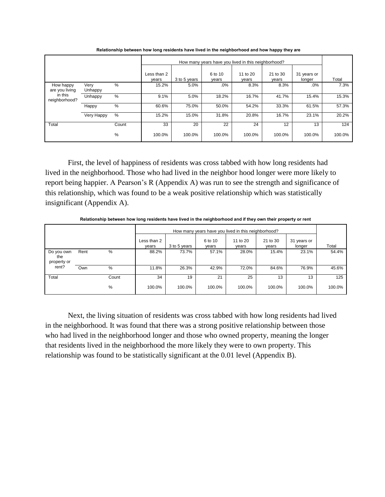|                             |                 |       |                      |              | How many years have you lived in this neighborhood? |                   |                   |                       |        |
|-----------------------------|-----------------|-------|----------------------|--------------|-----------------------------------------------------|-------------------|-------------------|-----------------------|--------|
|                             |                 |       | Less than 2<br>years | 3 to 5 years | 6 to 10<br>years                                    | 11 to 20<br>years | 21 to 30<br>years | 31 years or<br>longer | Total  |
| How happy<br>are you living | Verv<br>Unhappy | $\%$  | 15.2%                | 5.0%         | .0%                                                 | 8.3%              | 8.3%              | .0%                   | 7.3%   |
| in this<br>neighborhood?    | Unhappy         | %     | 9.1%                 | 5.0%         | 18.2%                                               | 16.7%             | 41.7%             | 15.4%                 | 15.3%  |
|                             | Happy           | $\%$  | 60.6%                | 75.0%        | 50.0%                                               | 54.2%             | 33.3%             | 61.5%                 | 57.3%  |
|                             | Very Happy      | $\%$  | 15.2%                | 15.0%        | 31.8%                                               | 20.8%             | 16.7%             | 23.1%                 | 20.2%  |
| Total                       |                 | Count | 33                   | 20           | 22                                                  | 24                | 12                | 13                    | 124    |
|                             |                 | %     | 100.0%               | 100.0%       | 100.0%                                              | 100.0%            | 100.0%            | 100.0%                | 100.0% |

**Relationship between how long residents have lived in the neighborhood and how happy they are**

First, the level of happiness of residents was cross tabbed with how long residents had lived in the neighborhood. Those who had lived in the neighbor hood longer were more likely to report being happier. A Pearson's R (Appendix A) was run to see the strength and significance of this relationship, which was found to be a weak positive relationship which was statistically insignificant (Appendix A).

**Relationship between how long residents have lived in the neighborhood and if they own their property or rent**

|                                  |      |       |                      |              | How many years have you lived in this neighborhood? |                   |                   |                       |        |
|----------------------------------|------|-------|----------------------|--------------|-----------------------------------------------------|-------------------|-------------------|-----------------------|--------|
|                                  |      |       | Less than 2<br>vears | 3 to 5 years | 6 to 10<br>years                                    | 11 to 20<br>years | 21 to 30<br>vears | 31 years or<br>longer | Total  |
| Do you own<br>the<br>property or | Rent | %     | 88.2%                | 73.7%        | 57.1%                                               | 28.0%             | 15.4%             | 23.1%                 | 54.4%  |
| rent?                            | Own  | %     | 11.8%                | 26.3%        | 42.9%                                               | 72.0%             | 84.6%             | 76.9%                 | 45.6%  |
| Total                            |      | Count | 34                   | 19           | 21                                                  | 25                | 13                | 13                    | 125    |
|                                  |      | %     | 100.0%               | 100.0%       | 100.0%                                              | 100.0%            | 100.0%            | 100.0%                | 100.0% |

Next, the living situation of residents was cross tabbed with how long residents had lived in the neighborhood. It was found that there was a strong positive relationship between those who had lived in the neighborhood longer and those who owned property, meaning the longer that residents lived in the neighborhood the more likely they were to own property. This relationship was found to be statistically significant at the 0.01 level (Appendix B).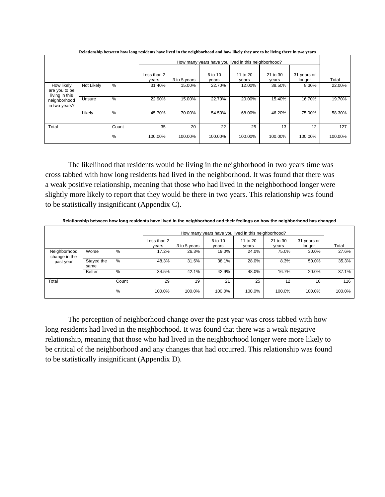|                                               |            |               |                      |              | How many years have you lived in this neighborhood? |                   |                   |                       |         |
|-----------------------------------------------|------------|---------------|----------------------|--------------|-----------------------------------------------------|-------------------|-------------------|-----------------------|---------|
|                                               |            |               | Less than 2<br>vears | 3 to 5 years | 6 to 10<br>years                                    | 11 to 20<br>years | 21 to 30<br>years | 31 years or<br>longer | Total   |
| How likely<br>are you to be<br>living in this | Not Likely | $\%$          | 31.40%               | 15.00%       | 22.70%                                              | 12.00%            | 38.50%            | 8.30%                 | 22.00%  |
| neighborhood<br>in two years?                 | Unsure     | $\frac{0}{0}$ | 22.90%               | 15.00%       | 22.70%                                              | 20.00%            | 15.40%            | 16.70%                | 19.70%  |
|                                               | Likely     | %             | 45.70%               | 70.00%       | 54.50%                                              | 68.00%            | 46.20%            | 75.00%                | 58.30%  |
| Total                                         |            | Count         | 35                   | 20           | 22                                                  | 25                | 13                | 12                    | 127     |
|                                               |            | %             | 100.00%              | 100.00%      | 100.00%                                             | 100.00%           | 100.00%           | 100.00%               | 100.00% |

**Relationship between how long residents have lived in the neighborhood and how likely they are to be living there in two years**

The likelihood that residents would be living in the neighborhood in two years time was cross tabbed with how long residents had lived in the neighborhood. It was found that there was a weak positive relationship, meaning that those who had lived in the neighborhood longer were slightly more likely to report that they would be there in two years. This relationship was found to be statistically insignificant (Appendix C).

**Relationship between how long residents have lived in the neighborhood and their feelings on how the neighborhood has changed**

|                               |                    |       |                      |              |                  | How many years have you lived in this neighborhood? |                   |                       |        |
|-------------------------------|--------------------|-------|----------------------|--------------|------------------|-----------------------------------------------------|-------------------|-----------------------|--------|
|                               |                    |       | Less than 2<br>years | 3 to 5 years | 6 to 10<br>years | 11 to 20<br>years                                   | 21 to 30<br>years | 31 years or<br>longer | Total  |
| Neighborhood<br>change in the | Worse              | %     | 17.2%                | 26.3%        | 19.0%            | 24.0%                                               | 75.0%             | 30.0%                 | 27.6%  |
| past year                     | Stayed the<br>same | %     | 48.3%                | 31.6%        | 38.1%            | 28.0%                                               | 8.3%              | 50.0%                 | 35.3%  |
|                               | <b>Better</b>      | %     | 34.5%                | 42.1%        | 42.9%            | 48.0%                                               | 16.7%             | 20.0%                 | 37.1%  |
| Total                         |                    | Count | 29                   | 19           | 21               | 25                                                  | 12                | 10                    | 116    |
|                               |                    | %     | 100.0%               | 100.0%       | 100.0%           | 100.0%                                              | 100.0%            | 100.0%                | 100.0% |

The perception of neighborhood change over the past year was cross tabbed with how long residents had lived in the neighborhood. It was found that there was a weak negative relationship, meaning that those who had lived in the neighborhood longer were more likely to be critical of the neighborhood and any changes that had occurred. This relationship was found to be statistically insignificant (Appendix D).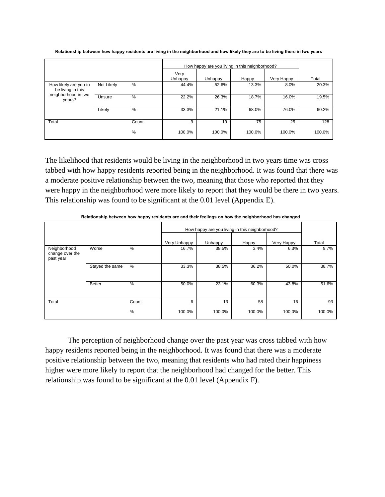|                                            |            |               |                 |         | How happy are you living in this neighborhood? |            |        |
|--------------------------------------------|------------|---------------|-----------------|---------|------------------------------------------------|------------|--------|
|                                            |            |               | Very<br>Unhappy | Unhappy | Happy                                          | Very Happy | Total  |
| How likely are you to<br>be living in this | Not Likely | %             | 44.4%           | 52.6%   | 13.3%                                          | 8.0%       | 20.3%  |
| neighborhood in two<br>years?              | Unsure     | $\%$          | 22.2%           | 26.3%   | 18.7%                                          | 16.0%      | 19.5%  |
|                                            | Likely     | $\frac{0}{0}$ | 33.3%           | 21.1%   | 68.0%                                          | 76.0%      | 60.2%  |
| Total                                      |            | Count         | 9               | 19      | 75                                             | 25         | 128    |
|                                            |            | %             | 100.0%          | 100.0%  | 100.0%                                         | 100.0%     | 100.0% |

**Relationship between how happy residents are living in the neighborhood and how likely they are to be living there in two years**

The likelihood that residents would be living in the neighborhood in two years time was cross tabbed with how happy residents reported being in the neighborhood. It was found that there was a moderate positive relationship between the two, meaning that those who reported that they were happy in the neighborhood were more likely to report that they would be there in two years. This relationship was found to be significant at the 0.01 level (Appendix E).

|                                              |                 |       |              |         | How happy are you living in this neighborhood? |            |        |
|----------------------------------------------|-----------------|-------|--------------|---------|------------------------------------------------|------------|--------|
|                                              |                 |       | Very Unhappy | Unhappy | Happy                                          | Very Happy | Total  |
| Neighborhood<br>change over the<br>past year | Worse           | $\%$  | 16.7%        | 38.5%   | 3.4%                                           | 6.3%       | 9.7%   |
|                                              | Stayed the same | $\%$  | 33.3%        | 38.5%   | 36.2%                                          | 50.0%      | 38.7%  |
|                                              | <b>Better</b>   | $\%$  | 50.0%        | 23.1%   | 60.3%                                          | 43.8%      | 51.6%  |
| Total                                        |                 | Count | 6            | 13      | 58                                             | 16         | 93     |
|                                              |                 | %     | 100.0%       | 100.0%  | 100.0%                                         | 100.0%     | 100.0% |

**Relationship between how happy residents are and their feelings on how the neighborhood has changed**

The perception of neighborhood change over the past year was cross tabbed with how happy residents reported being in the neighborhood. It was found that there was a moderate positive relationship between the two, meaning that residents who had rated their happiness higher were more likely to report that the neighborhood had changed for the better. This relationship was found to be significant at the 0.01 level (Appendix F).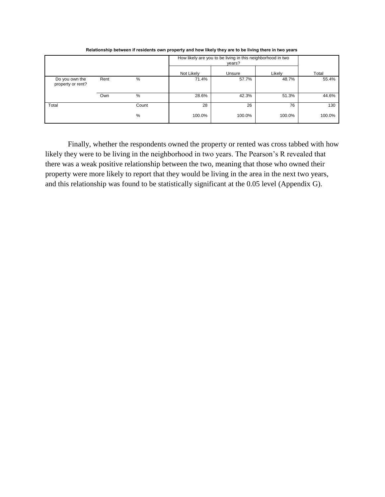|                                     |      |       |            | How likely are you to be living in this neighborhood in two<br>years? |        |        |
|-------------------------------------|------|-------|------------|-----------------------------------------------------------------------|--------|--------|
|                                     |      |       | Not Likely | Unsure                                                                | Likely | Total  |
| Do you own the<br>property or rent? | Rent | %     | 71.4%      | 57.7%                                                                 | 48.7%  | 55.4%  |
|                                     | Own  | %     | 28.6%      | 42.3%                                                                 | 51.3%  | 44.6%  |
| Total                               |      | Count | 28         | 26                                                                    | 76     | 130    |
|                                     |      | %     | 100.0%     | 100.0%                                                                | 100.0% | 100.0% |

**Relationship between if residents own property and how likely they are to be living there in two years**

Finally, whether the respondents owned the property or rented was cross tabbed with how likely they were to be living in the neighborhood in two years. The Pearson's R revealed that there was a weak positive relationship between the two, meaning that those who owned their property were more likely to report that they would be living in the area in the next two years, and this relationship was found to be statistically significant at the 0.05 level (Appendix G).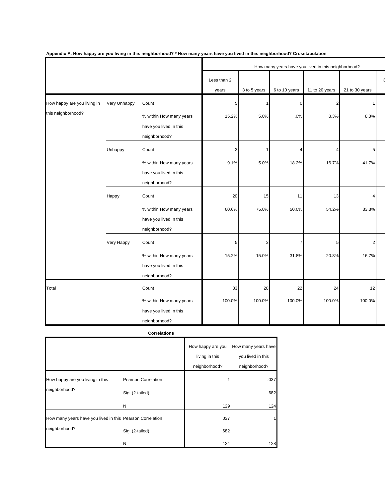|                                                   |              |                                                                             |                      |              |               | How many years have you lived in this neighborhood? |                |  |
|---------------------------------------------------|--------------|-----------------------------------------------------------------------------|----------------------|--------------|---------------|-----------------------------------------------------|----------------|--|
|                                                   |              |                                                                             | Less than 2<br>years | 3 to 5 years | 6 to 10 years | 11 to 20 years                                      | 21 to 30 years |  |
| How happy are you living in<br>this neighborhood? | Very Unhappy | Count<br>% within How many years<br>have you lived in this<br>neighborhood? | 5<br>15.2%           | 5.0%         | ∩<br>.0%      | 8.3%                                                | 8.3%           |  |
|                                                   | Unhappy      | Count<br>% within How many years<br>have you lived in this<br>neighborhood? | 3<br>9.1%            | 5.0%         | 18.2%         | 16.7%                                               | 5<br>41.7%     |  |
|                                                   | Happy        | Count<br>% within How many years<br>have you lived in this<br>neighborhood? | 20<br>60.6%          | 15<br>75.0%  | 11<br>50.0%   | 13<br>54.2%                                         | 33.3%          |  |
|                                                   | Very Happy   | Count<br>% within How many years<br>have you lived in this<br>neighborhood? | 5<br>15.2%           | 3<br>15.0%   | 7<br>31.8%    | 5<br>20.8%                                          | 2<br>16.7%     |  |
| Total                                             |              | Count<br>% within How many years<br>have you lived in this<br>neighborhood? | 33<br>100.0%         | 20<br>100.0% | 22<br>100.0%  | 24<br>100.0%                                        | 12<br>100.0%   |  |

**Appendix A. How happy are you living in this neighborhood? \* How many years have you lived in this neighborhood? Crosstabulation**

#### **Correlations**

|                                                           |                                        | How happy are you<br>living in this<br>neighborhood? | How many years have<br>you lived in this<br>neighborhood? |
|-----------------------------------------------------------|----------------------------------------|------------------------------------------------------|-----------------------------------------------------------|
| How happy are you living in this<br>neighborhood?         | Pearson Correlation<br>Sig. (2-tailed) |                                                      | .037<br>.682                                              |
|                                                           | N                                      | 129                                                  | 124                                                       |
| How many years have you lived in this Pearson Correlation |                                        | .037                                                 |                                                           |
| neighborhood?                                             | Sig. (2-tailed)                        | .682                                                 |                                                           |
|                                                           | N                                      | 124                                                  | 128                                                       |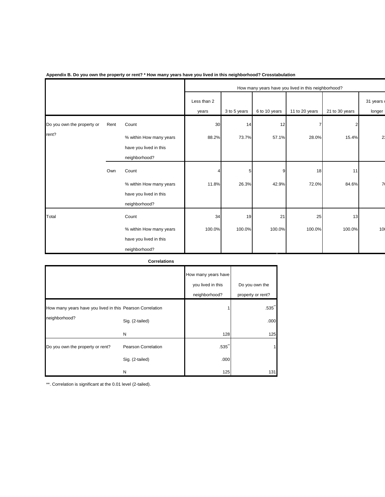|                            |      |                                                                    |             |              |               | How many years have you lived in this neighborhood? |                |                |
|----------------------------|------|--------------------------------------------------------------------|-------------|--------------|---------------|-----------------------------------------------------|----------------|----------------|
|                            |      |                                                                    | Less than 2 |              |               |                                                     |                | 31 years       |
|                            |      |                                                                    | years       | 3 to 5 years | 6 to 10 years | 11 to 20 years                                      | 21 to 30 years | longer         |
| Do you own the property or | Rent | Count                                                              | 30          | 14           | 12            |                                                     | 2              |                |
| rent?                      |      | % within How many years<br>have you lived in this                  | 88.2%       | 73.7%        | 57.1%         | 28.0%                                               | 15.4%          | 2 <sup>i</sup> |
|                            |      | neighborhood?                                                      |             |              |               |                                                     |                |                |
|                            | Own  | Count                                                              |             | 5            | 9             | 18                                                  | 11             |                |
|                            |      | % within How many years<br>have you lived in this<br>neighborhood? | 11.8%       | 26.3%        | 42.9%         | 72.0%                                               | 84.6%          | $\overline{7}$ |
| Total                      |      | Count                                                              | 34          | 19           | 21            | 25                                                  | 13             |                |
|                            |      | % within How many years<br>have you lived in this                  | 100.0%      | 100.0%       | 100.0%        | 100.0%                                              | 100.0%         | 10             |
|                            |      | neighborhood?                                                      |             |              |               |                                                     |                |                |

**Appendix B. Do you own the property or rent? \* How many years have you lived in this neighborhood? Crosstabulation**

**Correlations**

|                                                           |                     | How many years have<br>you lived in this<br>neighborhood? | Do you own the<br>property or rent? |
|-----------------------------------------------------------|---------------------|-----------------------------------------------------------|-------------------------------------|
| How many years have you lived in this Pearson Correlation |                     |                                                           | $.535$ <sup>"</sup>                 |
| neighborhood?                                             | Sig. (2-tailed)     |                                                           | .000                                |
|                                                           | N                   | 128                                                       | 125                                 |
| Do you own the property or rent?                          | Pearson Correlation | .535                                                      |                                     |
|                                                           | Sig. (2-tailed)     | .000                                                      |                                     |
|                                                           | N                   | 125                                                       | 131                                 |

\*\*. Correlation is significant at the 0.01 level (2-tailed).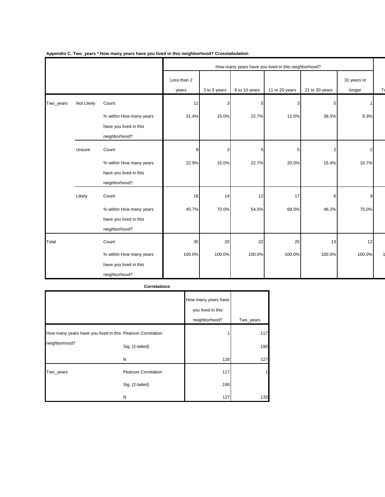|           |            |                                                                             |                      | How many years have you lived in this neighborhood? |               |                |                |                         |    |  |
|-----------|------------|-----------------------------------------------------------------------------|----------------------|-----------------------------------------------------|---------------|----------------|----------------|-------------------------|----|--|
|           |            |                                                                             | Less than 2<br>years | 3 to 5 years                                        | 6 to 10 years | 11 to 20 years | 21 to 30 years | 31 years or<br>longer   | T) |  |
| Two_years | Not Likely | Count                                                                       | 11                   |                                                     | 5             | З              | 5              |                         |    |  |
|           |            | % within How many years<br>have you lived in this<br>neighborhood?          | 31.4%                | 15.0%                                               | 22.7%         | 12.0%          | 38.5%          | 8.3%                    |    |  |
|           | Unsure     | Count<br>% within How many years<br>have you lived in this<br>neighborhood? | 8<br>22.9%           | 15.0%                                               | 5<br>22.7%    | 5<br>20.0%     | 2<br>15.4%     | $\overline{2}$<br>16.7% |    |  |
|           | Likely     | Count<br>% within How many years<br>have you lived in this<br>neighborhood? | 16<br>45.7%          | 14<br>70.0%                                         | 12<br>54.5%   | 17<br>68.0%    | 6<br>46.2%     | 9<br>75.0%              |    |  |
| Total     |            | Count<br>% within How many years<br>have you lived in this<br>neighborhood? | 35<br>100.0%         | 20<br>100.0%                                        | 22<br>100.0%  | 25<br>100.0%   | 13<br>100.0%   | 12<br>100.0%            |    |  |

٦

#### **Appendix C. Two\_years \* How many years have you lived in this neighborhood? Crosstabulation**

|                                                                            | <b>Correlations</b> |                                                           |              |
|----------------------------------------------------------------------------|---------------------|-----------------------------------------------------------|--------------|
|                                                                            |                     | How many years have<br>you lived in this<br>neighborhood? | Two_years    |
| How many years have you lived in this Pearson Correlation<br>neighborhood? | Sig. (2-tailed)     |                                                           | .117<br>.190 |
|                                                                            | N                   | 128                                                       | 127          |
| Two_years                                                                  | Pearson Correlation | .117                                                      | 1            |
|                                                                            | Sig. (2-tailed)     | .190                                                      |              |
|                                                                            | N                   | 127                                                       | 133          |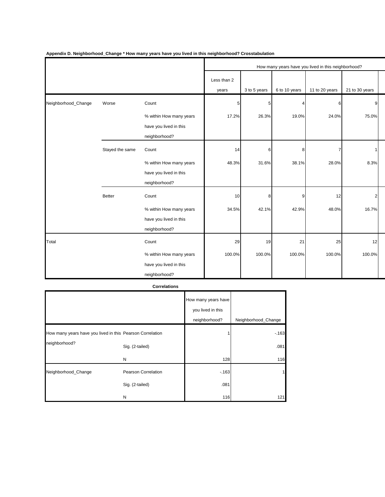|                     |                 |                         |             |              |               | How many years have you lived in this neighborhood? |                |  |
|---------------------|-----------------|-------------------------|-------------|--------------|---------------|-----------------------------------------------------|----------------|--|
|                     |                 |                         | Less than 2 |              |               |                                                     |                |  |
|                     |                 |                         | years       | 3 to 5 years | 6 to 10 years | 11 to 20 years                                      | 21 to 30 years |  |
| Neighborhood_Change | Worse           | Count                   | 5           | 5            |               | 6                                                   | 9              |  |
|                     |                 | % within How many years | 17.2%       | 26.3%        | 19.0%         | 24.0%                                               | 75.0%          |  |
|                     |                 | have you lived in this  |             |              |               |                                                     |                |  |
|                     |                 | neighborhood?           |             |              |               |                                                     |                |  |
|                     | Stayed the same | Count                   | 14          | 6            | 8             |                                                     |                |  |
|                     |                 | % within How many years | 48.3%       | 31.6%        | 38.1%         | 28.0%                                               | 8.3%           |  |
|                     |                 | have you lived in this  |             |              |               |                                                     |                |  |
|                     |                 | neighborhood?           |             |              |               |                                                     |                |  |
|                     | <b>Better</b>   | Count                   | 10          | 8            | 9             | 12                                                  | $\mathfrak{p}$ |  |
|                     |                 | % within How many years | 34.5%       | 42.1%        | 42.9%         | 48.0%                                               | 16.7%          |  |
|                     |                 | have you lived in this  |             |              |               |                                                     |                |  |
|                     |                 | neighborhood?           |             |              |               |                                                     |                |  |
| Total               |                 | Count                   | 29          | 19           | 21            | 25                                                  | 12             |  |
|                     |                 | % within How many years | 100.0%      | 100.0%       | 100.0%        | 100.0%                                              | 100.0%         |  |
|                     |                 | have you lived in this  |             |              |               |                                                     |                |  |
|                     |                 | neighborhood?           |             |              |               |                                                     |                |  |

**Appendix D. Neighborhood\_Change \* How many years have you lived in this neighborhood? Crosstabulation**

#### **Correlations**

|                                                           |                     | How many years have<br>you lived in this<br>neighborhood? | Neighborhood_Change |
|-----------------------------------------------------------|---------------------|-----------------------------------------------------------|---------------------|
| How many years have you lived in this Pearson Correlation |                     |                                                           | $-163$              |
| neighborhood?                                             | Sig. (2-tailed)     |                                                           | .081                |
|                                                           | N                   | 128                                                       | 116                 |
| Neighborhood_Change                                       | Pearson Correlation | $-163$                                                    |                     |
|                                                           | Sig. (2-tailed)     | .081                                                      |                     |
|                                                           | N                   | 116                                                       | 121                 |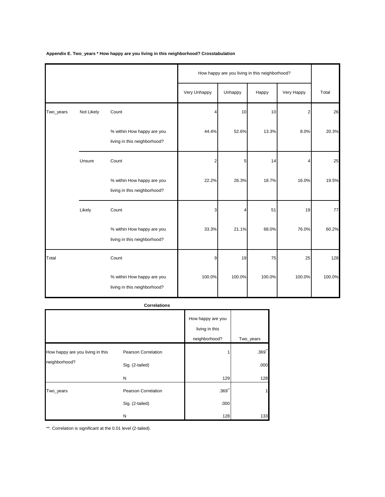|           |            |                                                            |                | How happy are you living in this neighborhood? |        |            |        |
|-----------|------------|------------------------------------------------------------|----------------|------------------------------------------------|--------|------------|--------|
|           |            |                                                            | Very Unhappy   | Unhappy                                        | Happy  | Very Happy | Total  |
| Two_years | Not Likely | Count                                                      | Δ              | 10                                             | 10     | 2          | 26     |
|           |            | % within How happy are you<br>living in this neighborhood? | 44.4%          | 52.6%                                          | 13.3%  | 8.0%       | 20.3%  |
|           | Unsure     | Count                                                      | $\overline{2}$ | 5                                              | 14     | 4          | 25     |
|           |            | % within How happy are you<br>living in this neighborhood? | 22.2%          | 26.3%                                          | 18.7%  | 16.0%      | 19.5%  |
|           | Likely     | Count                                                      | 3              |                                                | 51     | 19         | 77     |
|           |            | % within How happy are you<br>living in this neighborhood? | 33.3%          | 21.1%                                          | 68.0%  | 76.0%      | 60.2%  |
| Total     |            | Count                                                      | 9              | 19                                             | 75     | 25         | 128    |
|           |            | % within How happy are you<br>living in this neighborhood? | 100.0%         | 100.0%                                         | 100.0% | 100.0%     | 100.0% |

**Appendix E. Two\_years \* How happy are you living in this neighborhood? Crosstabulation**

#### **Correlations**

|                                                   |                                        | How happy are you<br>living in this<br>neighborhood? | Two_years                    |
|---------------------------------------------------|----------------------------------------|------------------------------------------------------|------------------------------|
| How happy are you living in this<br>neighborhood? | Pearson Correlation<br>Sig. (2-tailed) |                                                      | $.369$ <sup>**</sup><br>.000 |
|                                                   | N                                      | 129                                                  | 128                          |
| Two_years                                         | Pearson Correlation                    | $.369$ <sup>*</sup>                                  |                              |
|                                                   | Sig. (2-tailed)                        | .000                                                 |                              |
|                                                   | N                                      | 128                                                  | 133                          |

\*\*. Correlation is significant at the 0.01 level (2-tailed).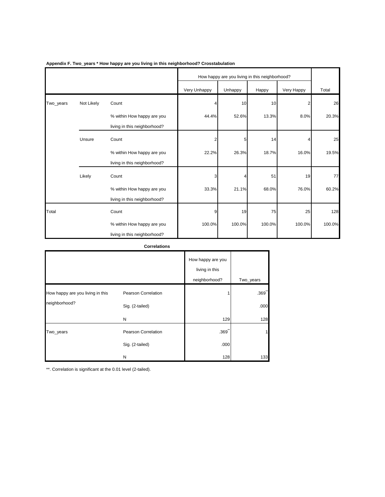|           |            |                                                            |              | How happy are you living in this neighborhood? |        |            |        |  |
|-----------|------------|------------------------------------------------------------|--------------|------------------------------------------------|--------|------------|--------|--|
|           |            |                                                            | Very Unhappy | Unhappy                                        | Happy  | Very Happy | Total  |  |
| Two_years | Not Likely | Count                                                      |              | 10                                             | 10     | 2          | 26     |  |
|           |            | % within How happy are you<br>living in this neighborhood? | 44.4%        | 52.6%                                          | 13.3%  | 8.0%       | 20.3%  |  |
|           | Unsure     | Count                                                      | 2            | 5                                              | 14     |            | 25     |  |
|           |            | % within How happy are you<br>living in this neighborhood? | 22.2%        | 26.3%                                          | 18.7%  | 16.0%      | 19.5%  |  |
|           | Likely     | Count                                                      | 3            |                                                | 51     | 19         | 77     |  |
|           |            | % within How happy are you<br>living in this neighborhood? | 33.3%        | 21.1%                                          | 68.0%  | 76.0%      | 60.2%  |  |
| Total     |            | Count                                                      | 9            | 19                                             | 75     | 25         | 128    |  |
|           |            | % within How happy are you<br>living in this neighborhood? | 100.0%       | 100.0%                                         | 100.0% | 100.0%     | 100.0% |  |

#### **Appendix F. Two\_years \* How happy are you living in this neighborhood? Crosstabulation**

#### **Correlations**

|                                  |                     | How happy are you<br>living in this<br>neighborhood? | Two_years |
|----------------------------------|---------------------|------------------------------------------------------|-----------|
| How happy are you living in this | Pearson Correlation |                                                      | .369      |
| neighborhood?                    | Sig. (2-tailed)     |                                                      | .000      |
|                                  | N                   | 129                                                  | 128       |
| Two_years                        | Pearson Correlation | $.369$ <sup>*</sup>                                  |           |
|                                  | Sig. (2-tailed)     | .000                                                 |           |
|                                  | N                   | 128                                                  | 133       |

\*\*. Correlation is significant at the 0.01 level (2-tailed).